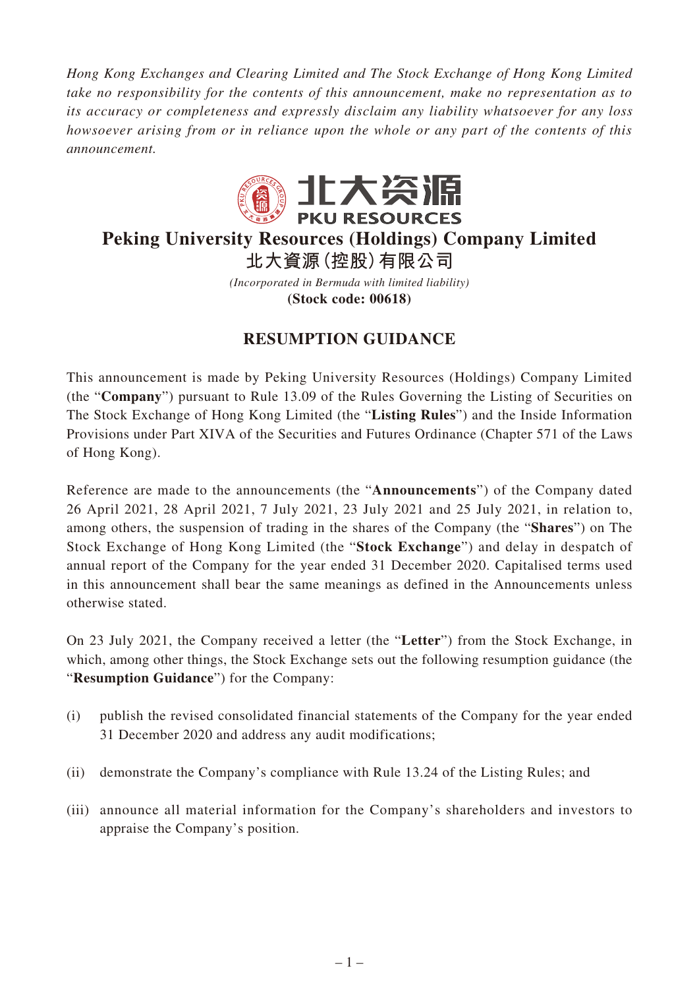*Hong Kong Exchanges and Clearing Limited and The Stock Exchange of Hong Kong Limited take no responsibility for the contents of this announcement, make no representation as to its accuracy or completeness and expressly disclaim any liability whatsoever for any loss howsoever arising from or in reliance upon the whole or any part of the contents of this announcement.*



## **Peking University Resources (Holdings) Company Limited 北大資源(控股)有限公司**

*(Incorporated in Bermuda with limited liability)* **(Stock code: 00618)**

## **RESUMPTION GUIDANCE**

This announcement is made by Peking University Resources (Holdings) Company Limited (the "**Company**") pursuant to Rule 13.09 of the Rules Governing the Listing of Securities on The Stock Exchange of Hong Kong Limited (the "**Listing Rules**") and the Inside Information Provisions under Part XIVA of the Securities and Futures Ordinance (Chapter 571 of the Laws of Hong Kong).

Reference are made to the announcements (the "**Announcements**") of the Company dated 26 April 2021, 28 April 2021, 7 July 2021, 23 July 2021 and 25 July 2021, in relation to, among others, the suspension of trading in the shares of the Company (the "**Shares**") on The Stock Exchange of Hong Kong Limited (the "**Stock Exchange**") and delay in despatch of annual report of the Company for the year ended 31 December 2020. Capitalised terms used in this announcement shall bear the same meanings as defined in the Announcements unless otherwise stated.

On 23 July 2021, the Company received a letter (the "**Letter**") from the Stock Exchange, in which, among other things, the Stock Exchange sets out the following resumption guidance (the "**Resumption Guidance**") for the Company:

- (i) publish the revised consolidated financial statements of the Company for the year ended 31 December 2020 and address any audit modifications;
- (ii) demonstrate the Company's compliance with Rule 13.24 of the Listing Rules; and
- (iii) announce all material information for the Company's shareholders and investors to appraise the Company's position.